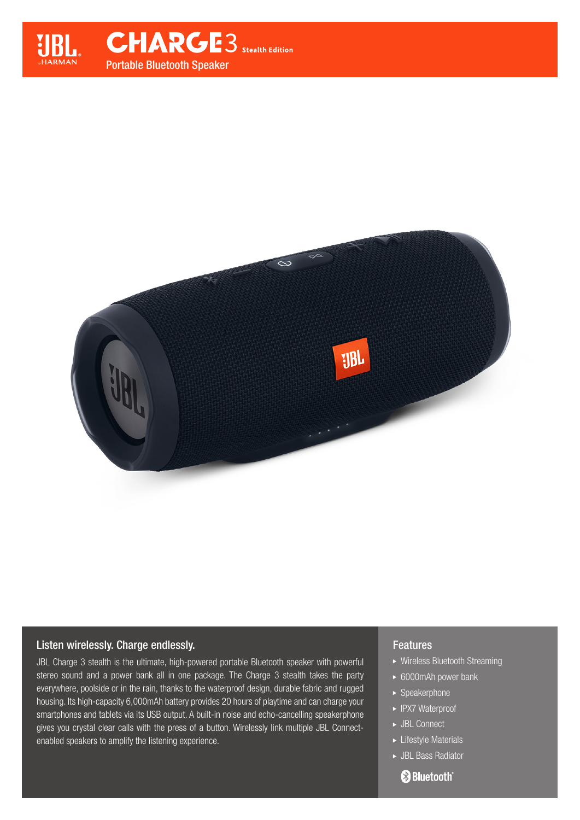

## Listen wirelessly. Charge endlessly.

JBL Charge 3 stealth is the ultimate, high-powered portable Bluetooth speaker with powerful stereo sound and a power bank all in one package. The Charge 3 stealth takes the party everywhere, poolside or in the rain, thanks to the waterproof design, durable fabric and rugged housing. Its high-capacity 6,000mAh battery provides 20 hours of playtime and can charge your smartphones and tablets via its USB output. A built-in noise and echo-cancelling speakerphone gives you crystal clear calls with the press of a button. Wirelessly link multiple JBL Connectenabled speakers to amplify the listening experience.

## **Features**

- Wireless Bluetooth Streaming
- ► 6000mAh power bank
- ▶ Speakerphone
- ► IPX7 Waterproof
- ► JBL Connect
- $\blacktriangleright$  Lifestyle Materials
- JBL Bass Radiator

# **Bluetooth**®